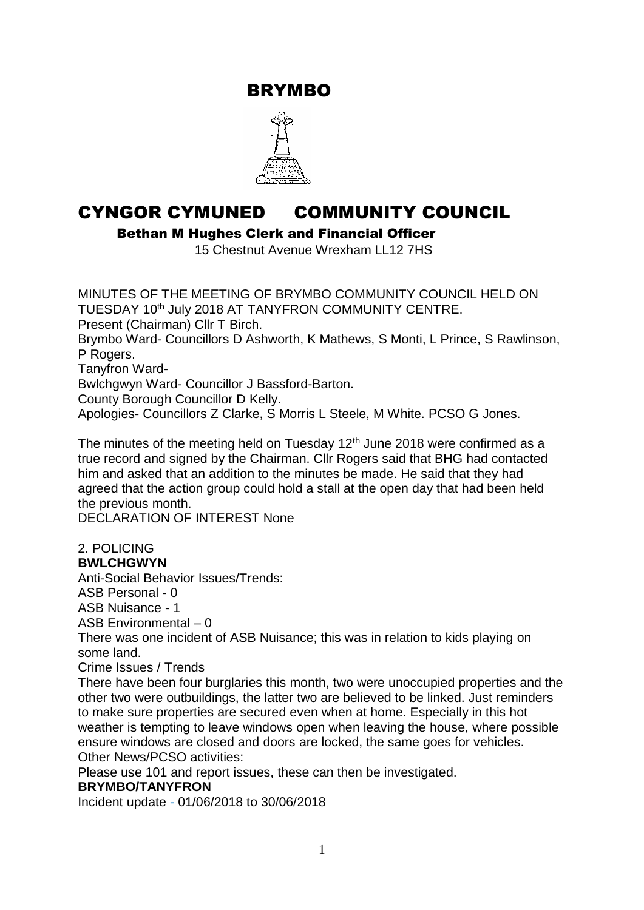BRYMBO



# CYNGOR CYMUNED COMMUNITY COUNCIL

Bethan M Hughes Clerk and Financial Officer

15 Chestnut Avenue Wrexham LL12 7HS

MINUTES OF THE MEETING OF BRYMBO COMMUNITY COUNCIL HELD ON TUESDAY 10<sup>th</sup> July 2018 AT TANYFRON COMMUNITY CENTRE. Present (Chairman) Cllr T Birch. Brymbo Ward- Councillors D Ashworth, K Mathews, S Monti, L Prince, S Rawlinson, P Rogers. Tanyfron Ward-Bwlchgwyn Ward- Councillor J Bassford-Barton. County Borough Councillor D Kelly. Apologies- Councillors Z Clarke, S Morris L Steele, M White. PCSO G Jones.

The minutes of the meeting held on Tuesday  $12<sup>th</sup>$  June 2018 were confirmed as a true record and signed by the Chairman. Cllr Rogers said that BHG had contacted him and asked that an addition to the minutes be made. He said that they had agreed that the action group could hold a stall at the open day that had been held the previous month.

DECLARATION OF INTEREST None

# 2. POLICING

**BWLCHGWYN**

Anti-Social Behavior Issues/Trends:

ASB Personal - 0

ASB Nuisance - 1

ASB Environmental – 0

There was one incident of ASB Nuisance; this was in relation to kids playing on some land.

Crime Issues / Trends

There have been four burglaries this month, two were unoccupied properties and the other two were outbuildings, the latter two are believed to be linked. Just reminders to make sure properties are secured even when at home. Especially in this hot weather is tempting to leave windows open when leaving the house, where possible ensure windows are closed and doors are locked, the same goes for vehicles. Other News/PCSO activities:

Please use 101 and report issues, these can then be investigated.

## **BRYMBO/TANYFRON**

Incident update - 01/06/2018 to 30/06/2018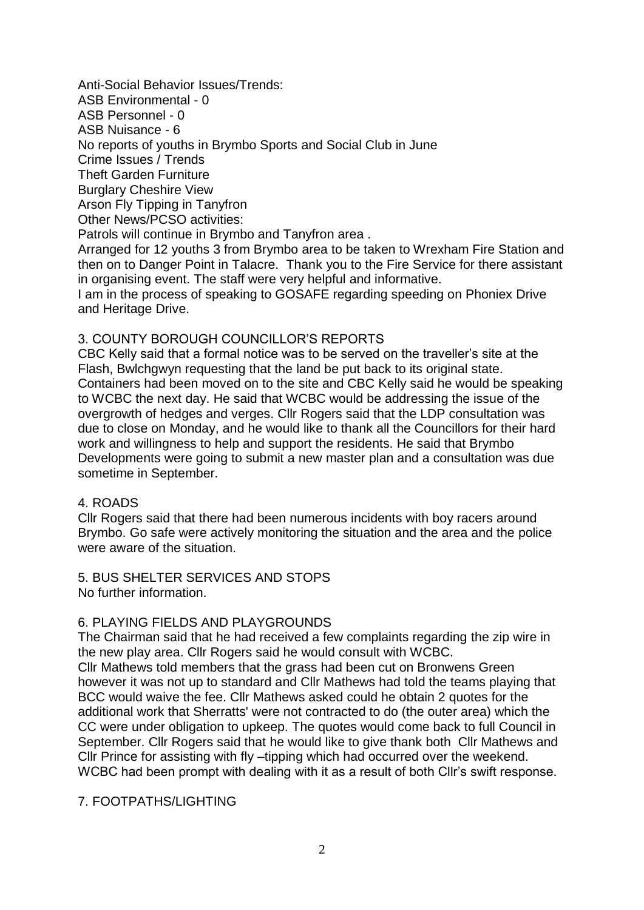Anti-Social Behavior Issues/Trends: ASB Environmental - 0 ASB Personnel - 0 ASB Nuisance - 6 No reports of youths in Brymbo Sports and Social Club in June Crime Issues / Trends Theft Garden Furniture Burglary Cheshire View Arson Fly Tipping in Tanyfron Other News/PCSO activities: Patrols will continue in Brymbo and Tanyfron area . Arranged for 12 youths 3 from Brymbo area to be taken to Wrexham Fire Station and then on to Danger Point in Talacre. Thank you to the Fire Service for there assistant in organising event. The staff were very helpful and informative. I am in the process of speaking to GOSAFE regarding speeding on Phoniex Drive and Heritage Drive.

#### 3. COUNTY BOROUGH COUNCILLOR'S REPORTS

CBC Kelly said that a formal notice was to be served on the traveller's site at the Flash, Bwlchgwyn requesting that the land be put back to its original state. Containers had been moved on to the site and CBC Kelly said he would be speaking to WCBC the next day. He said that WCBC would be addressing the issue of the overgrowth of hedges and verges. Cllr Rogers said that the LDP consultation was due to close on Monday, and he would like to thank all the Councillors for their hard work and willingness to help and support the residents. He said that Brymbo Developments were going to submit a new master plan and a consultation was due sometime in September.

#### 4. ROADS

Cllr Rogers said that there had been numerous incidents with boy racers around Brymbo. Go safe were actively monitoring the situation and the area and the police were aware of the situation.

5. BUS SHELTER SERVICES AND STOPS No further information.

#### 6. PLAYING FIELDS AND PLAYGROUNDS

The Chairman said that he had received a few complaints regarding the zip wire in the new play area. Cllr Rogers said he would consult with WCBC.

Cllr Mathews told members that the grass had been cut on Bronwens Green however it was not up to standard and Cllr Mathews had told the teams playing that BCC would waive the fee. Cllr Mathews asked could he obtain 2 quotes for the additional work that Sherratts' were not contracted to do (the outer area) which the CC were under obligation to upkeep. The quotes would come back to full Council in September. Cllr Rogers said that he would like to give thank both Cllr Mathews and Cllr Prince for assisting with fly –tipping which had occurred over the weekend. WCBC had been prompt with dealing with it as a result of both Cllr's swift response.

#### 7. FOOTPATHS/LIGHTING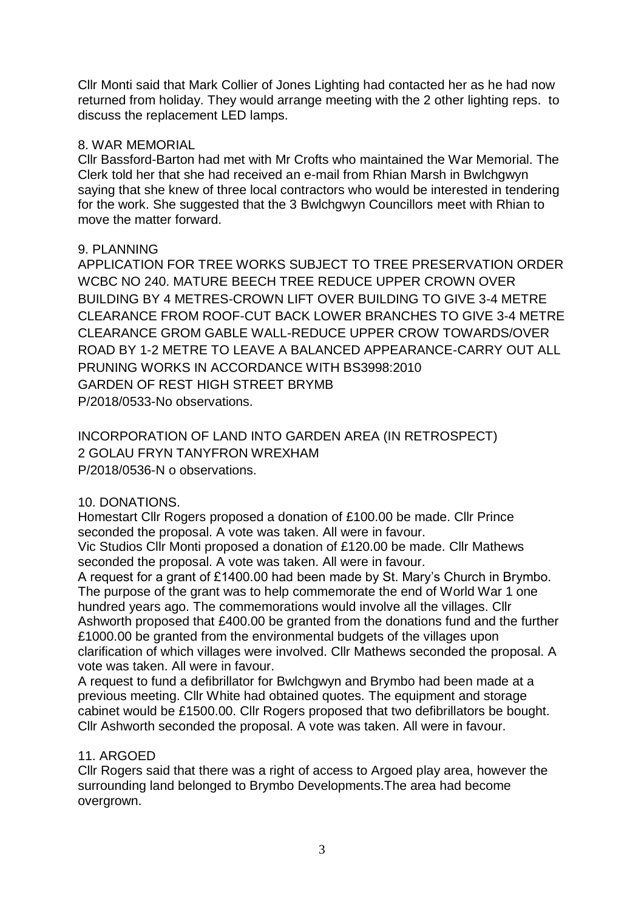Cllr Monti said that Mark Collier of Jones Lighting had contacted her as he had now returned from holiday. They would arrange meeting with the 2 other lighting reps. to discuss the replacement LED lamps.

#### 8. WAR MEMORIAL

Cllr Bassford-Barton had met with Mr Crofts who maintained the War Memorial. The Clerk told her that she had received an e-mail from Rhian Marsh in Bwlchgwyn saying that she knew of three local contractors who would be interested in tendering for the work. She suggested that the 3 Bwlchgwyn Councillors meet with Rhian to move the matter forward.

#### 9. PLANNING

APPLICATION FOR TREE WORKS SUBJECT TO TREE PRESERVATION ORDER WCBC NO 240. MATURE BEECH TREE REDUCE UPPER CROWN OVER BUILDING BY 4 METRES-CROWN LIFT OVER BUILDING TO GIVE 3-4 METRE CLEARANCE FROM ROOF-CUT BACK LOWER BRANCHES TO GIVE 3-4 METRE CLEARANCE GROM GABLE WALL-REDUCE UPPER CROW TOWARDS/OVER ROAD BY 1-2 METRE TO LEAVE A BALANCED APPEARANCE-CARRY OUT ALL PRUNING WORKS IN ACCORDANCE WITH BS3998:2010 GARDEN OF REST HIGH STREET BRYMB P/2018/0533-No observations.

INCORPORATION OF LAND INTO GARDEN AREA (IN RETROSPECT) 2 GOLAU FRYN TANYFRON WREXHAM P/2018/0536-N o observations.

## 10. DONATIONS.

Homestart Cllr Rogers proposed a donation of £100.00 be made. Cllr Prince seconded the proposal. A vote was taken. All were in favour.

Vic Studios Cllr Monti proposed a donation of £120.00 be made. Cllr Mathews seconded the proposal. A vote was taken. All were in favour.

A request for a grant of £1400.00 had been made by St. Mary's Church in Brymbo. The purpose of the grant was to help commemorate the end of World War 1 one hundred years ago. The commemorations would involve all the villages. Cllr Ashworth proposed that £400.00 be granted from the donations fund and the further £1000.00 be granted from the environmental budgets of the villages upon clarification of which villages were involved. Cllr Mathews seconded the proposal. A vote was taken. All were in favour.

A request to fund a defibrillator for Bwlchgwyn and Brymbo had been made at a previous meeting. Cllr White had obtained quotes. The equipment and storage cabinet would be £1500.00. Cllr Rogers proposed that two defibrillators be bought. Cllr Ashworth seconded the proposal. A vote was taken. All were in favour.

## 11. ARGOED

Cllr Rogers said that there was a right of access to Argoed play area, however the surrounding land belonged to Brymbo Developments.The area had become overgrown.